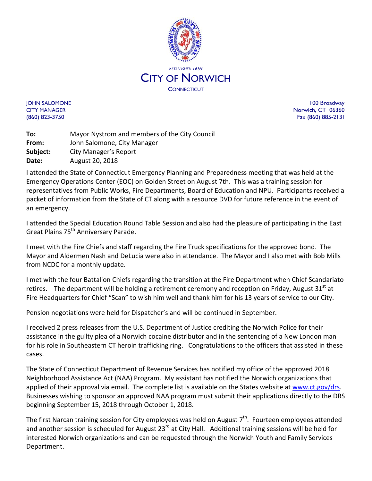

JOHN SALOMONE 100 Broadway CITY MANAGER Norwich, CT 06360 (860) 823-3750 Fax (860) 885-2131

**To:** Mayor Nystrom and members of the City Council **From:** John Salomone, City Manager **Subject:** City Manager's Report **Date:** August 20, 2018

I attended the State of Connecticut Emergency Planning and Preparedness meeting that was held at the Emergency Operations Center (EOC) on Golden Street on August 7th. This was a training session for representatives from Public Works, Fire Departments, Board of Education and NPU. Participants received a packet of information from the State of CT along with a resource DVD for future reference in the event of an emergency.

I attended the Special Education Round Table Session and also had the pleasure of participating in the East Great Plains 75<sup>th</sup> Anniversary Parade.

I meet with the Fire Chiefs and staff regarding the Fire Truck specifications for the approved bond. The Mayor and Aldermen Nash and DeLucia were also in attendance. The Mayor and I also met with Bob Mills from NCDC for a monthly update.

I met with the four Battalion Chiefs regarding the transition at the Fire Department when Chief Scandariato retires. The department will be holding a retirement ceremony and reception on Friday, August  $31<sup>st</sup>$  at Fire Headquarters for Chief "Scan" to wish him well and thank him for his 13 years of service to our City.

Pension negotiations were held for Dispatcher's and will be continued in September.

I received 2 press releases from the U.S. Department of Justice crediting the Norwich Police for their assistance in the guilty plea of a Norwich cocaine distributor and in the sentencing of a New London man for his role in Southeastern CT heroin trafficking ring. Congratulations to the officers that assisted in these cases.

The State of Connecticut Department of Revenue Services has notified my office of the approved 2018 Neighborhood Assistance Act (NAA) Program. My assistant has notified the Norwich organizations that applied of their approval via email. The complete list is available on the States website at [www.ct.gov/drs.](http://www.ct.gov/drs) Businesses wishing to sponsor an approved NAA program must submit their applications directly to the DRS beginning September 15, 2018 through October 1, 2018.

The first Narcan training session for City employees was held on August  $7<sup>th</sup>$ . Fourteen employees attended and another session is scheduled for August 23<sup>rd</sup> at City Hall. Additional training sessions will be held for interested Norwich organizations and can be requested through the Norwich Youth and Family Services Department.